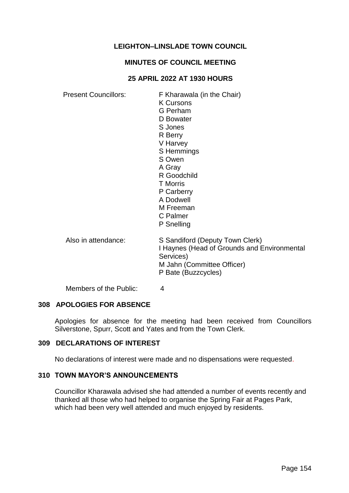# **LEIGHTON–LINSLADE TOWN COUNCIL**

### **MINUTES OF COUNCIL MEETING**

### **25 APRIL 2022 AT 1930 HOURS**

Present Councillors: F Kharawala (in the Chair) K Cursons G Perham D Bowater S Jones R Berry V Harvey S Hemmings S Owen A Gray R Goodchild T Morris P Carberry A Dodwell M Freeman C Palmer P Snelling Also in attendance: S Sandiford (Deputy Town Clerk) I Haynes (Head of Grounds and Environmental Services) M Jahn (Committee Officer) P Bate (Buzzcycles)

Members of the Public: 4

# **308 APOLOGIES FOR ABSENCE**

Apologies for absence for the meeting had been received from Councillors Silverstone, Spurr, Scott and Yates and from the Town Clerk.

#### **309 DECLARATIONS OF INTEREST**

No declarations of interest were made and no dispensations were requested.

#### **310 TOWN MAYOR'S ANNOUNCEMENTS**

Councillor Kharawala advised she had attended a number of events recently and thanked all those who had helped to organise the Spring Fair at Pages Park, which had been very well attended and much enjoyed by residents.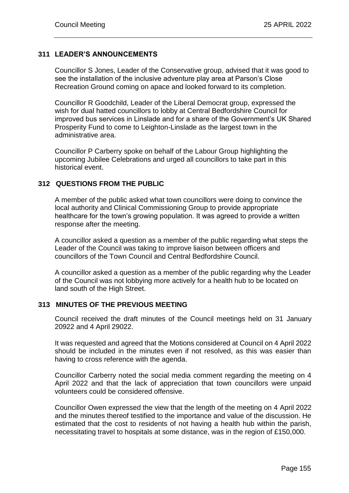# **311 LEADER'S ANNOUNCEMENTS**

Councillor S Jones, Leader of the Conservative group, advised that it was good to see the installation of the inclusive adventure play area at Parson's Close Recreation Ground coming on apace and looked forward to its completion.

Councillor R Goodchild, Leader of the Liberal Democrat group, expressed the wish for dual hatted councillors to lobby at Central Bedfordshire Council for improved bus services in Linslade and for a share of the Government's UK Shared Prosperity Fund to come to Leighton-Linslade as the largest town in the administrative area.

Councillor P Carberry spoke on behalf of the Labour Group highlighting the upcoming Jubilee Celebrations and urged all councillors to take part in this historical event.

# **312 QUESTIONS FROM THE PUBLIC**

A member of the public asked what town councillors were doing to convince the local authority and Clinical Commissioning Group to provide appropriate healthcare for the town's growing population. It was agreed to provide a written response after the meeting.

A councillor asked a question as a member of the public regarding what steps the Leader of the Council was taking to improve liaison between officers and councillors of the Town Council and Central Bedfordshire Council.

A councillor asked a question as a member of the public regarding why the Leader of the Council was not lobbying more actively for a health hub to be located on land south of the High Street.

# **313 MINUTES OF THE PREVIOUS MEETING**

Council received the draft minutes of the Council meetings held on 31 January 20922 and 4 April 29022.

It was requested and agreed that the Motions considered at Council on 4 April 2022 should be included in the minutes even if not resolved, as this was easier than having to cross reference with the agenda.

Councillor Carberry noted the social media comment regarding the meeting on 4 April 2022 and that the lack of appreciation that town councillors were unpaid volunteers could be considered offensive.

Councillor Owen expressed the view that the length of the meeting on 4 April 2022 and the minutes thereof testified to the importance and value of the discussion. He estimated that the cost to residents of not having a health hub within the parish, necessitating travel to hospitals at some distance, was in the region of £150,000.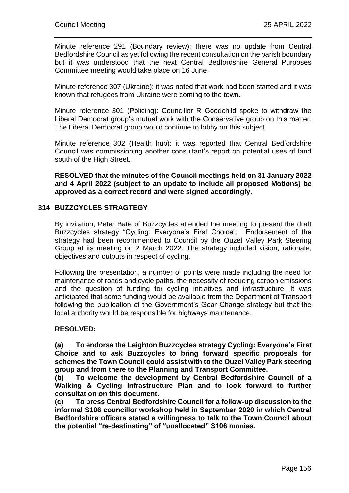Minute reference 291 (Boundary review): there was no update from Central Bedfordshire Council as yet following the recent consultation on the parish boundary but it was understood that the next Central Bedfordshire General Purposes Committee meeting would take place on 16 June.

Minute reference 307 (Ukraine): it was noted that work had been started and it was known that refugees from Ukraine were coming to the town.

Minute reference 301 (Policing): Councillor R Goodchild spoke to withdraw the Liberal Democrat group's mutual work with the Conservative group on this matter. The Liberal Democrat group would continue to lobby on this subject.

Minute reference 302 (Health hub): it was reported that Central Bedfordshire Council was commissioning another consultant's report on potential uses of land south of the High Street.

**RESOLVED that the minutes of the Council meetings held on 31 January 2022 and 4 April 2022 (subject to an update to include all proposed Motions) be approved as a correct record and were signed accordingly.** 

# **314 BUZZCYCLES STRAGTEGY**

By invitation, Peter Bate of Buzzcycles attended the meeting to present the draft Buzzcycles strategy "Cycling: Everyone's First Choice". Endorsement of the strategy had been recommended to Council by the Ouzel Valley Park Steering Group at its meeting on 2 March 2022. The strategy included vision, rationale, objectives and outputs in respect of cycling.

Following the presentation, a number of points were made including the need for maintenance of roads and cycle paths, the necessity of reducing carbon emissions and the question of funding for cycling initiatives and infrastructure. It was anticipated that some funding would be available from the Department of Transport following the publication of the Government's Gear Change strategy but that the local authority would be responsible for highways maintenance.

# **RESOLVED:**

**(a) To endorse the Leighton Buzzcycles strategy Cycling: Everyone's First Choice and to ask Buzzcycles to bring forward specific proposals for schemes the Town Council could assist with to the Ouzel Valley Park steering group and from there to the Planning and Transport Committee.**

**(b) To welcome the development by Central Bedfordshire Council of a Walking & Cycling Infrastructure Plan and to look forward to further consultation on this document.** 

**(c) To press Central Bedfordshire Council for a follow-up discussion to the informal S106 councillor workshop held in September 2020 in which Central Bedfordshire officers stated a willingness to talk to the Town Council about the potential "re-destinating" of "unallocated" S106 monies.**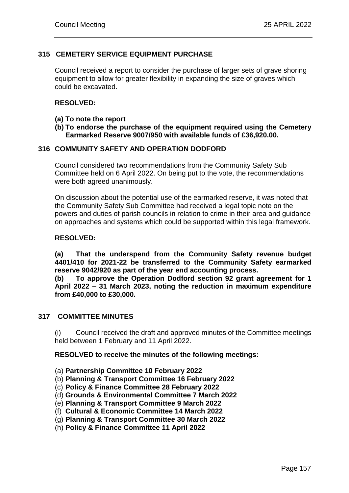# **315 CEMETERY SERVICE EQUIPMENT PURCHASE**

Council received a report to consider the purchase of larger sets of grave shoring equipment to allow for greater flexibility in expanding the size of graves which could be excavated.

#### **RESOLVED:**

- **(a) To note the report**
- **(b) To endorse the purchase of the equipment required using the Cemetery Earmarked Reserve 9007/950 with available funds of £36,920.00.**

# **316 COMMUNITY SAFETY AND OPERATION DODFORD**

Council considered two recommendations from the Community Safety Sub Committee held on 6 April 2022. On being put to the vote, the recommendations were both agreed unanimously.

On discussion about the potential use of the earmarked reserve, it was noted that the Community Safety Sub Committee had received a legal topic note on the powers and duties of parish councils in relation to crime in their area and guidance on approaches and systems which could be supported within this legal framework.

#### **RESOLVED:**

**(a) That the underspend from the Community Safety revenue budget 4401/410 for 2021-22 be transferred to the Community Safety earmarked reserve 9042/920 as part of the year end accounting process.**

**(b) To approve the Operation Dodford section 92 grant agreement for 1 April 2022 – 31 March 2023, noting the reduction in maximum expenditure from £40,000 to £30,000.**

#### **317 COMMITTEE MINUTES**

(i) Council received the draft and approved minutes of the Committee meetings held between 1 February and 11 April 2022.

**RESOLVED to receive the minutes of the following meetings:**

- (a) **Partnership Committee 10 February 2022**
- (b) **Planning & Transport Committee 16 February 2022**
- (c) **Policy & Finance Committee 28 February 2022**
- (d) **Grounds & Environmental Committee 7 March 2022**
- (e) **Planning & Transport Committee 9 March 2022**
- (f) **Cultural & Economic Committee 14 March 2022**
- (g) **Planning & Transport Committee 30 March 2022**
- (h) **Policy & Finance Committee 11 April 2022**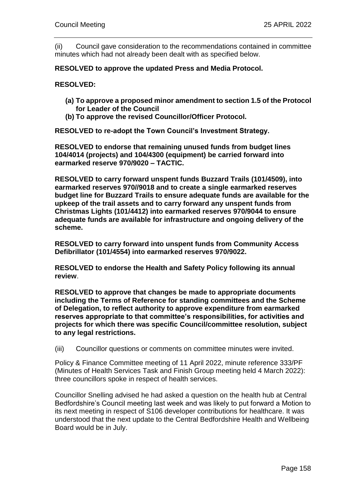(ii) Council gave consideration to the recommendations contained in committee minutes which had not already been dealt with as specified below.

### **RESOLVED to approve the updated Press and Media Protocol.**

**RESOLVED:**

- **(a) To approve a proposed minor amendment to section 1.5 of the Protocol for Leader of the Council**
- **(b) To approve the revised Councillor/Officer Protocol.**

**RESOLVED to re-adopt the Town Council's Investment Strategy.**

**RESOLVED to endorse that remaining unused funds from budget lines 104/4014 (projects) and 104/4300 (equipment) be carried forward into earmarked reserve 970/9020 – TACTIC.**

**RESOLVED to carry forward unspent funds Buzzard Trails (101/4509), into earmarked reserves 970//9018 and to create a single earmarked reserves budget line for Buzzard Trails to ensure adequate funds are available for the upkeep of the trail assets and to carry forward any unspent funds from Christmas Lights (101/4412) into earmarked reserves 970/9044 to ensure adequate funds are available for infrastructure and ongoing delivery of the scheme.**

**RESOLVED to carry forward into unspent funds from Community Access Defibrillator (101/4554) into earmarked reserves 970/9022.**

**RESOLVED to endorse the Health and Safety Policy following its annual review**.

**RESOLVED to approve that changes be made to appropriate documents including the Terms of Reference for standing committees and the Scheme of Delegation, to reflect authority to approve expenditure from earmarked reserves appropriate to that committee's responsibilities, for activities and projects for which there was specific Council/committee resolution, subject to any legal restrictions.**

(iii) Councillor questions or comments on committee minutes were invited.

Policy & Finance Committee meeting of 11 April 2022, minute reference 333/PF (Minutes of Health Services Task and Finish Group meeting held 4 March 2022): three councillors spoke in respect of health services.

Councillor Snelling advised he had asked a question on the health hub at Central Bedfordshire's Council meeting last week and was likely to put forward a Motion to its next meeting in respect of S106 developer contributions for healthcare. It was understood that the next update to the Central Bedfordshire Health and Wellbeing Board would be in July.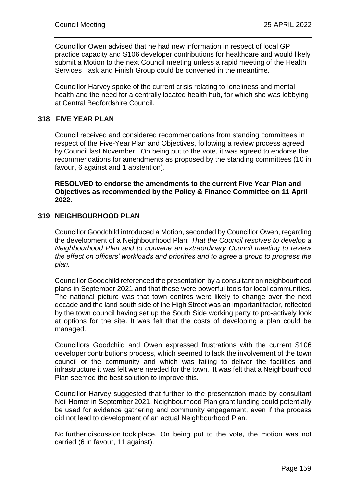Councillor Owen advised that he had new information in respect of local GP practice capacity and S106 developer contributions for healthcare and would likely submit a Motion to the next Council meeting unless a rapid meeting of the Health Services Task and Finish Group could be convened in the meantime.

Councillor Harvey spoke of the current crisis relating to loneliness and mental health and the need for a centrally located health hub, for which she was lobbying at Central Bedfordshire Council.

# **318 FIVE YEAR PLAN**

Council received and considered recommendations from standing committees in respect of the Five-Year Plan and Objectives, following a review process agreed by Council last November. On being put to the vote, it was agreed to endorse the recommendations for amendments as proposed by the standing committees (10 in favour, 6 against and 1 abstention).

**RESOLVED to endorse the amendments to the current Five Year Plan and Objectives as recommended by the Policy & Finance Committee on 11 April 2022.**

# **319 NEIGHBOURHOOD PLAN**

Councillor Goodchild introduced a Motion, seconded by Councillor Owen, regarding the development of a Neighbourhood Plan: *That the Council resolves to develop a Neighbourhood Plan and to convene an extraordinary Council meeting to review the effect on officers' workloads and priorities and to agree a group to progress the plan.* 

Councillor Goodchild referenced the presentation by a consultant on neighbourhood plans in September 2021 and that these were powerful tools for local communities. The national picture was that town centres were likely to change over the next decade and the land south side of the High Street was an important factor, reflected by the town council having set up the South Side working party to pro-actively look at options for the site. It was felt that the costs of developing a plan could be managed.

Councillors Goodchild and Owen expressed frustrations with the current S106 developer contributions process, which seemed to lack the involvement of the town council or the community and which was failing to deliver the facilities and infrastructure it was felt were needed for the town. It was felt that a Neighbourhood Plan seemed the best solution to improve this.

Councillor Harvey suggested that further to the presentation made by consultant Neil Homer in September 2021, Neighbourhood Plan grant funding could potentially be used for evidence gathering and community engagement, even if the process did not lead to development of an actual Neighbourhood Plan.

No further discussion took place. On being put to the vote, the motion was not carried (6 in favour, 11 against).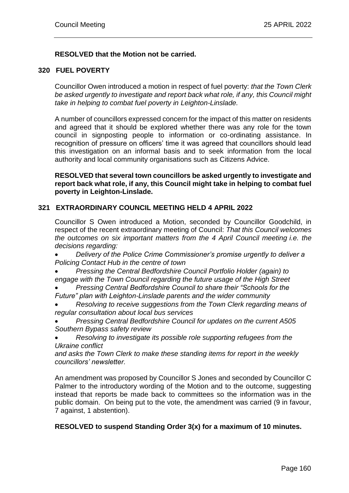# **RESOLVED that the Motion not be carried.**

#### **320 FUEL POVERTY**

Councillor Owen introduced a motion in respect of fuel poverty: *that the Town Clerk be asked urgently to investigate and report back what role, if any, this Council might take in helping to combat fuel poverty in Leighton-Linslade.*

A number of councillors expressed concern for the impact of this matter on residents and agreed that it should be explored whether there was any role for the town council in signposting people to information or co-ordinating assistance. In recognition of pressure on officers' time it was agreed that councillors should lead this investigation on an informal basis and to seek information from the local authority and local community organisations such as Citizens Advice.

**RESOLVED that several town councillors be asked urgently to investigate and report back what role, if any, this Council might take in helping to combat fuel poverty in Leighton-Linslade.**

#### **321 EXTRAORDINARY COUNCIL MEETING HELD 4 APRIL 2022**

Councillor S Owen introduced a Motion, seconded by Councillor Goodchild, in respect of the recent extraordinary meeting of Council: *That this Council welcomes the outcomes on six important matters from the 4 April Council meeting i.e. the decisions regarding:*

 *Delivery of the Police Crime Commissioner's promise urgently to deliver a Policing Contact Hub in the centre of town*

 *Pressing the Central Bedfordshire Council Portfolio Holder (again) to engage with the Town Council regarding the future usage of the High Street*

 *Pressing Central Bedfordshire Council to share their "Schools for the Future" plan with Leighton-Linslade parents and the wider community*

 *Resolving to receive suggestions from the Town Clerk regarding means of regular consultation about local bus services*

- *Pressing Central Bedfordshire Council for updates on the current A505 Southern Bypass safety review*
- *Resolving to investigate its possible role supporting refugees from the Ukraine conflict*

*and asks the Town Clerk to make these standing items for report in the weekly councillors' newsletter.* 

An amendment was proposed by Councillor S Jones and seconded by Councillor C Palmer to the introductory wording of the Motion and to the outcome, suggesting instead that reports be made back to committees so the information was in the public domain. On being put to the vote, the amendment was carried (9 in favour, 7 against, 1 abstention).

# **RESOLVED to suspend Standing Order 3(x) for a maximum of 10 minutes.**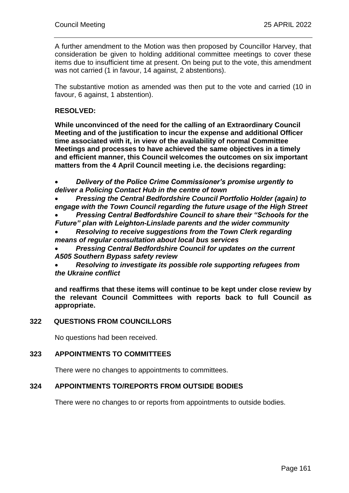A further amendment to the Motion was then proposed by Councillor Harvey, that consideration be given to holding additional committee meetings to cover these items due to insufficient time at present. On being put to the vote, this amendment was not carried (1 in favour, 14 against, 2 abstentions).

The substantive motion as amended was then put to the vote and carried (10 in favour, 6 against, 1 abstention).

# **RESOLVED:**

**While unconvinced of the need for the calling of an Extraordinary Council Meeting and of the justification to incur the expense and additional Officer time associated with it, in view of the availability of normal Committee Meetings and processes to have achieved the same objectives in a timely and efficient manner, this Council welcomes the outcomes on six important matters from the 4 April Council meeting i.e. the decisions regarding:** 

 *Delivery of the Police Crime Commissioner's promise urgently to deliver a Policing Contact Hub in the centre of town*

 *Pressing the Central Bedfordshire Council Portfolio Holder (again) to engage with the Town Council regarding the future usage of the High Street Pressing Central Bedfordshire Council to share their "Schools for the* 

*Future" plan with Leighton-Linslade parents and the wider community*

 *Resolving to receive suggestions from the Town Clerk regarding means of regular consultation about local bus services*

 *Pressing Central Bedfordshire Council for updates on the current A505 Southern Bypass safety review*

 *Resolving to investigate its possible role supporting refugees from the Ukraine conflict*

**and reaffirms that these items will continue to be kept under close review by the relevant Council Committees with reports back to full Council as appropriate.** 

# **322 QUESTIONS FROM COUNCILLORS**

No questions had been received.

# **323 APPOINTMENTS TO COMMITTEES**

There were no changes to appointments to committees.

# **324 APPOINTMENTS TO/REPORTS FROM OUTSIDE BODIES**

There were no changes to or reports from appointments to outside bodies.